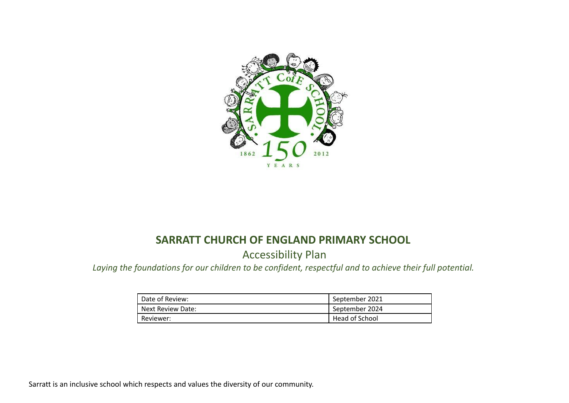

## **SARRATT CHURCH OF ENGLAND PRIMARY SCHOOL**

Accessibility Plan

*Laying the foundations for our children to be confident, respectful and to achieve their full potential.*

| Date of Review:   | September 2021 |
|-------------------|----------------|
| Next Review Date: | September 2024 |
| Reviewer:         | Head of School |

Sarratt is an inclusive school which respects and values the diversity of our community.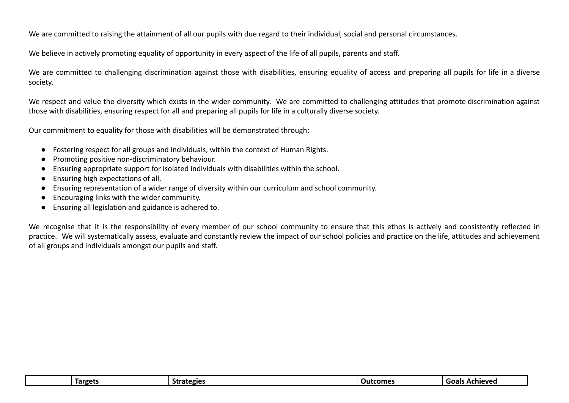We are committed to raising the attainment of all our pupils with due regard to their individual, social and personal circumstances.

We believe in actively promoting equality of opportunity in every aspect of the life of all pupils, parents and staff.

We are committed to challenging discrimination against those with disabilities, ensuring equality of access and preparing all pupils for life in a diverse society.

We respect and value the diversity which exists in the wider community. We are committed to challenging attitudes that promote discrimination against those with disabilities, ensuring respect for all and preparing all pupils for life in a culturally diverse society.

Our commitment to equality for those with disabilities will be demonstrated through:

- Fostering respect for all groups and individuals, within the context of Human Rights.
- Promoting positive non-discriminatory behaviour.
- Ensuring appropriate support for isolated individuals with disabilities within the school.
- Ensuring high expectations of all.
- Ensuring representation of a wider range of diversity within our curriculum and school community.
- Encouraging links with the wider community.
- Ensuring all legislation and guidance is adhered to.

We recognise that it is the responsibility of every member of our school community to ensure that this ethos is actively and consistently reflected in practice. We will systematically assess, evaluate and constantly review the impact of our school policies and practice on the life, attitudes and achievement of all groups and individuals amongst our pupils and staff.

| <b>Targets</b> | -<br>Strategies<br>7117 | Outcomes | Achieved<br>Goals |
|----------------|-------------------------|----------|-------------------|
|                |                         |          |                   |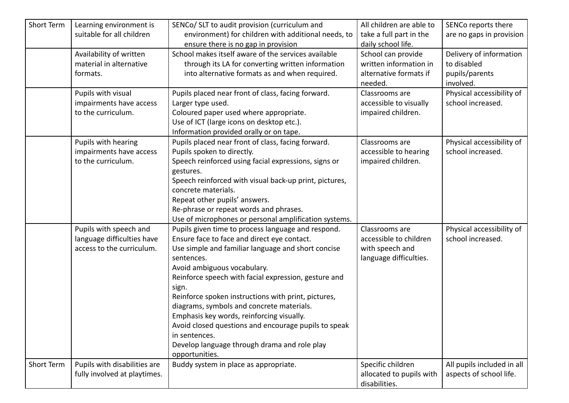| Short Term | Learning environment is<br>suitable for all children                              | SENCo/ SLT to audit provision (curriculum and<br>environment) for children with additional needs, to<br>ensure there is no gap in provision                                                                                                                                                                                                                                                                                                                                                                                                                       | All children are able to<br>take a full part in the<br>daily school life.             | SENCo reports there<br>are no gaps in provision                       |
|------------|-----------------------------------------------------------------------------------|-------------------------------------------------------------------------------------------------------------------------------------------------------------------------------------------------------------------------------------------------------------------------------------------------------------------------------------------------------------------------------------------------------------------------------------------------------------------------------------------------------------------------------------------------------------------|---------------------------------------------------------------------------------------|-----------------------------------------------------------------------|
|            | Availability of written<br>material in alternative<br>formats.                    | School makes itself aware of the services available<br>through its LA for converting written information<br>into alternative formats as and when required.                                                                                                                                                                                                                                                                                                                                                                                                        | School can provide<br>written information in<br>alternative formats if<br>needed.     | Delivery of information<br>to disabled<br>pupils/parents<br>involved. |
|            | Pupils with visual<br>impairments have access<br>to the curriculum.               | Pupils placed near front of class, facing forward.<br>Larger type used.<br>Coloured paper used where appropriate.<br>Use of ICT (large icons on desktop etc.).<br>Information provided orally or on tape.                                                                                                                                                                                                                                                                                                                                                         | Classrooms are<br>accessible to visually<br>impaired children.                        | Physical accessibility of<br>school increased.                        |
|            | Pupils with hearing<br>impairments have access<br>to the curriculum.              | Pupils placed near front of class, facing forward.<br>Pupils spoken to directly.<br>Speech reinforced using facial expressions, signs or<br>gestures.<br>Speech reinforced with visual back-up print, pictures,<br>concrete materials.<br>Repeat other pupils' answers.<br>Re-phrase or repeat words and phrases.<br>Use of microphones or personal amplification systems.                                                                                                                                                                                        | Classrooms are<br>accessible to hearing<br>impaired children.                         | Physical accessibility of<br>school increased.                        |
|            | Pupils with speech and<br>language difficulties have<br>access to the curriculum. | Pupils given time to process language and respond.<br>Ensure face to face and direct eye contact.<br>Use simple and familiar language and short concise<br>sentences.<br>Avoid ambiguous vocabulary.<br>Reinforce speech with facial expression, gesture and<br>sign.<br>Reinforce spoken instructions with print, pictures,<br>diagrams, symbols and concrete materials.<br>Emphasis key words, reinforcing visually.<br>Avoid closed questions and encourage pupils to speak<br>in sentences.<br>Develop language through drama and role play<br>opportunities. | Classrooms are<br>accessible to children<br>with speech and<br>language difficulties. | Physical accessibility of<br>school increased.                        |
| Short Term | Pupils with disabilities are<br>fully involved at playtimes.                      | Buddy system in place as appropriate.                                                                                                                                                                                                                                                                                                                                                                                                                                                                                                                             | Specific children<br>allocated to pupils with<br>disabilities.                        | All pupils included in all<br>aspects of school life.                 |